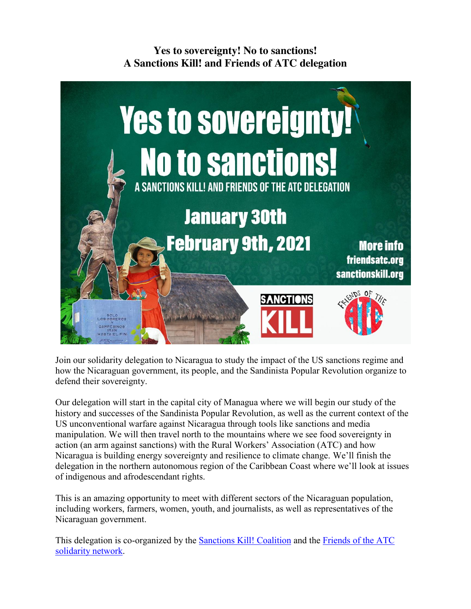**Yes to sovereignty! No to sanctions! A Sanctions Kill! and Friends of ATC delegation**



Join our solidarity delegation to Nicaragua to study the impact of the US sanctions regime and how the Nicaraguan government, its people, and the Sandinista Popular Revolution organize to defend their sovereignty.

Our delegation will start in the capital city of Managua where we will begin our study of the history and successes of the Sandinista Popular Revolution, as well as the current context of the US unconventional warfare against Nicaragua through tools like sanctions and media manipulation. We will then travel north to the mountains where we see food sovereignty in action (an arm against sanctions) with the Rural Workers' Association (ATC) and how Nicaragua is building energy sovereignty and resilience to climate change. We'll finish the delegation in the northern autonomous region of the Caribbean Coast where we'll look at issues of indigenous and afrodescendant rights.

This is an amazing opportunity to meet with different sectors of the Nicaraguan population, including workers, farmers, women, youth, and journalists, as well as representatives of the Nicaraguan government.

This delegation is co-organized by the Sanctions Kill! Coalition and the Friends of the ATC solidarity network.